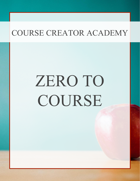# ZERO TO COURSE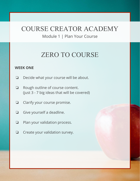Module 1 | Plan Your Course

# ZERO TO COURSE

## **WEEK ONE**

- ❏ Decide what your course will be about.
- ❏ Rough outline of course content. (just 3 - 7 big ideas that will be covered)
- ❏ Clarify your course promise.
- ❏ Give yourself a deadline.
- ❏ Plan your validation process.
- ❏ Create your validation survey.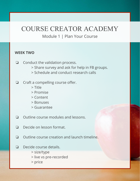## Module 1 | Plan Your Course

### **WEEK TWO**

- ❏ Conduct the validation process. > Share survey and ask for help in FB groups. > Schedule and conduct research calls
- ❏ Craft a compelling course offer.
	- > Title
	- > Promise
	- > Content
	- > Bonuses
	- > Guarantee
- ❏ Outline course modules and lessons.
- ❏ Decide on lesson format.
- ❏ Outline course creation and launch timeline.
- ❏ Decide course details.
	- > size/type
	- > live vs pre-recorded
	- > price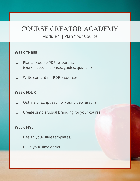## Module 1 | Plan Your Course

## **WEEK THREE**

- ❏ Plan all course PDF resources. (worksheets, checklists, guides, quizzes, etc.)
- ❏ Write content for PDF resources.

## **WEEK FOUR**

- ❏ Outline or script each of your video lessons.
- ❏ Create simple visual branding for your course.

#### **WEEK FIVE**

- ❏ Design your slide templates.
- ❏ Build your slide decks.